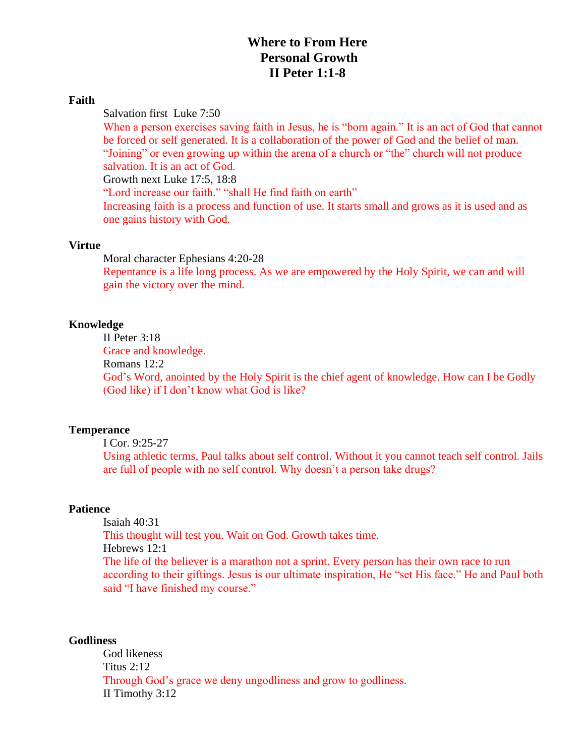## **Where to From Here Personal Growth II Peter 1:1-8**

#### **Faith**

Salvation first Luke 7:50

When a person exercises saving faith in Jesus, he is "born again." It is an act of God that cannot be forced or self generated. It is a collaboration of the power of God and the belief of man. "Joining" or even growing up within the arena of a church or "the" church will not produce salvation. It is an act of God.

Growth next Luke 17:5, 18:8

"Lord increase our faith." "shall He find faith on earth"

Increasing faith is a process and function of use. It starts small and grows as it is used and as one gains history with God.

#### **Virtue**

Moral character Ephesians 4:20-28

Repentance is a life long process. As we are empowered by the Holy Spirit, we can and will gain the victory over the mind.

#### **Knowledge**

II Peter 3:18

Grace and knowledge.

Romans 12:2

God's Word, anointed by the Holy Spirit is the chief agent of knowledge. How can I be Godly (God like) if I don't know what God is like?

#### **Temperance**

I Cor. 9:25-27

Using athletic terms, Paul talks about self control. Without it you cannot teach self control. Jails are full of people with no self control. Why doesn't a person take drugs?

### **Patience**

Isaiah 40:31 This thought will test you. Wait on God. Growth takes time. Hebrews 12:1 The life of the believer is a marathon not a sprint. Every person has their own race to run according to their giftings. Jesus is our ultimate inspiration, He "set His face." He and Paul both said "I have finished my course."

### **Godliness**

God likeness Titus 2:12 Through God's grace we deny ungodliness and grow to godliness. II Timothy 3:12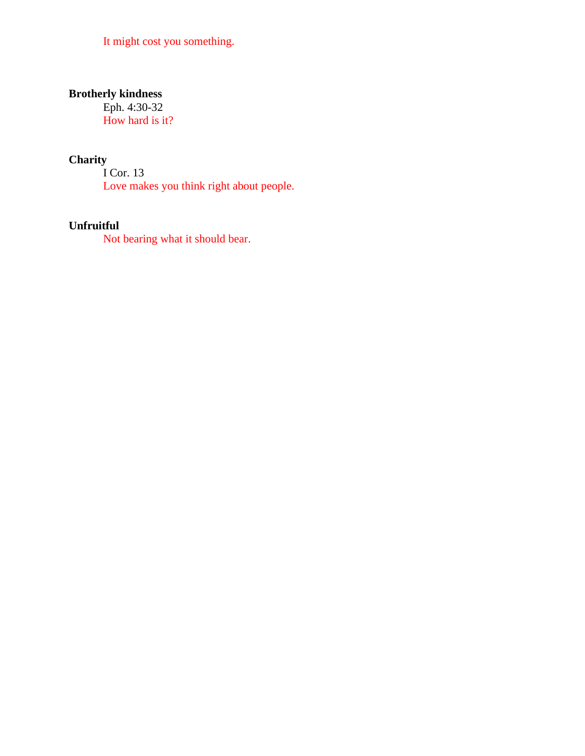It might cost you something.

# **Brotherly kindness**

Eph. 4:30-32 How hard is it?

# **Charity**

I Cor. 13 Love makes you think right about people.

## **Unfruitful**

Not bearing what it should bear.